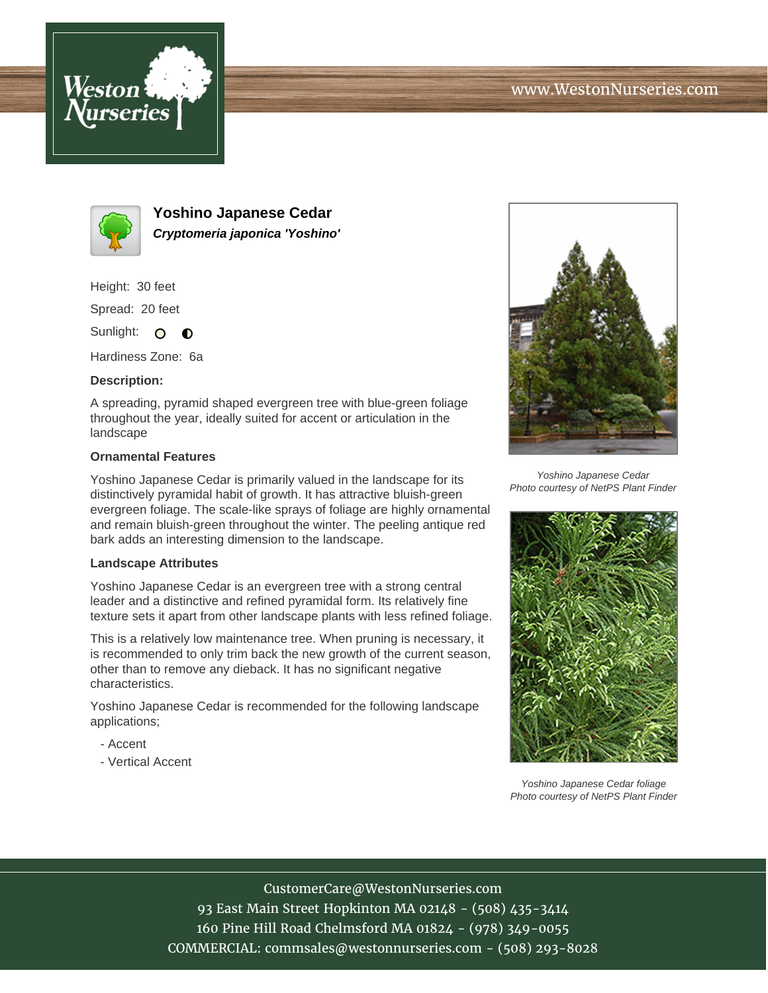



**Yoshino Japanese Cedar Cryptomeria japonica 'Yoshino'**

Height: 30 feet

Spread: 20 feet

Sunlight: O **O** 

Hardiness Zone: 6a

### **Description:**

A spreading, pyramid shaped evergreen tree with blue-green foliage throughout the year, ideally suited for accent or articulation in the landscape

### **Ornamental Features**

Yoshino Japanese Cedar is primarily valued in the landscape for its distinctively pyramidal habit of growth. It has attractive bluish-green evergreen foliage. The scale-like sprays of foliage are highly ornamental and remain bluish-green throughout the winter. The peeling antique red bark adds an interesting dimension to the landscape.

### **Landscape Attributes**

Yoshino Japanese Cedar is an evergreen tree with a strong central leader and a distinctive and refined pyramidal form. Its relatively fine texture sets it apart from other landscape plants with less refined foliage.

This is a relatively low maintenance tree. When pruning is necessary, it is recommended to only trim back the new growth of the current season, other than to remove any dieback. It has no significant negative characteristics.

Yoshino Japanese Cedar is recommended for the following landscape applications;

- Accent
- Vertical Accent



Yoshino Japanese Cedar Photo courtesy of NetPS Plant Finder



Yoshino Japanese Cedar foliage Photo courtesy of NetPS Plant Finder

# CustomerCare@WestonNurseries.com

93 East Main Street Hopkinton MA 02148 - (508) 435-3414 160 Pine Hill Road Chelmsford MA 01824 - (978) 349-0055 COMMERCIAL: commsales@westonnurseries.com - (508) 293-8028